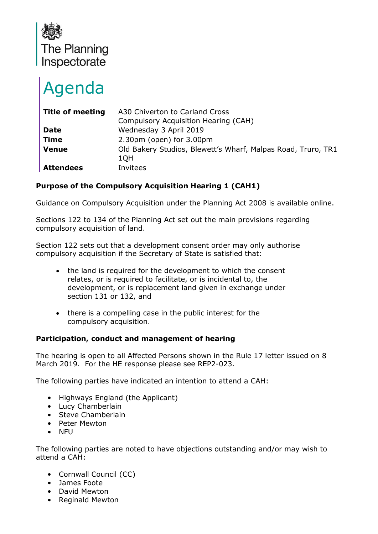

# Agenda

| <b>Title of meeting</b> | A30 Chiverton to Carland Cross                                      |
|-------------------------|---------------------------------------------------------------------|
|                         | Compulsory Acquisition Hearing (CAH)                                |
| <b>Date</b>             | Wednesday 3 April 2019                                              |
| <b>Time</b>             | 2.30pm (open) for 3.00pm                                            |
| <b>Venue</b>            | Old Bakery Studios, Blewett's Wharf, Malpas Road, Truro, TR1<br>1OH |
| <b>Attendees</b>        | Invitees                                                            |

## **Purpose of the Compulsory Acquisition Hearing 1 (CAH1)**

Guidance on Compulsory Acquisition under the Planning Act 2008 is available online.

Sections 122 to 134 of the Planning Act set out the main provisions regarding compulsory acquisition of land.

Section 122 sets out that a development consent order may only authorise compulsory acquisition if the Secretary of State is satisfied that:

- the land is required for the development to which the consent relates, or is required to facilitate, or is incidental to, the development, or is replacement land given in exchange under section 131 or 132, and
- there is a compelling case in the public interest for the compulsory acquisition.

#### **Participation, conduct and management of hearing**

The hearing is open to all Affected Persons shown in the Rule 17 letter issued on 8 March 2019. For the HE response please see REP2-023.

The following parties have indicated an intention to attend a CAH:

- Highways England (the Applicant)
- Lucy Chamberlain
- Steve Chamberlain
- Peter Mewton
- NFU

The following parties are noted to have objections outstanding and/or may wish to attend a CAH:

- Cornwall Council (CC)
- James Foote
- David Mewton
- Reginald Mewton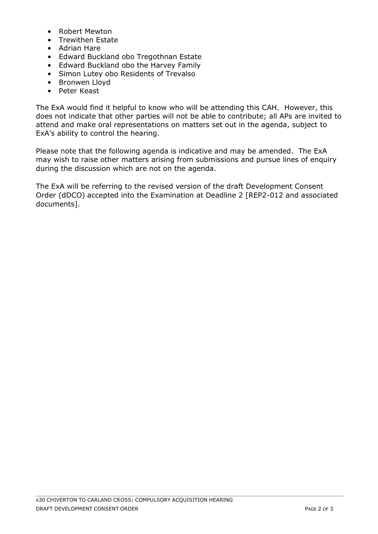- Robert Mewton
- Trewithen Estate
- Adrian Hare
- Edward Buckland obo Tregothnan Estate
- Edward Buckland obo the Harvey Family
- Simon Lutey obo Residents of Trevalso
- Bronwen Lloyd
- Peter Keast

The ExA would find it helpful to know who will be attending this CAH. However, this does not indicate that other parties will not be able to contribute; all APs are invited to attend and make oral representations on matters set out in the agenda, subject to ExA's ability to control the hearing.

Please note that the following agenda is indicative and may be amended. The ExA may wish to raise other matters arising from submissions and pursue lines of enquiry during the discussion which are not on the agenda.

The ExA will be referring to the revised version of the draft Development Consent Order (dDCO) accepted into the Examination at Deadline 2 [REP2-012 and associated documents].